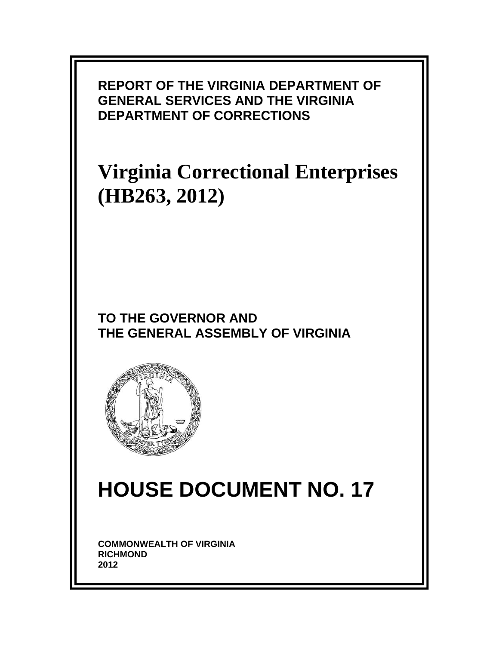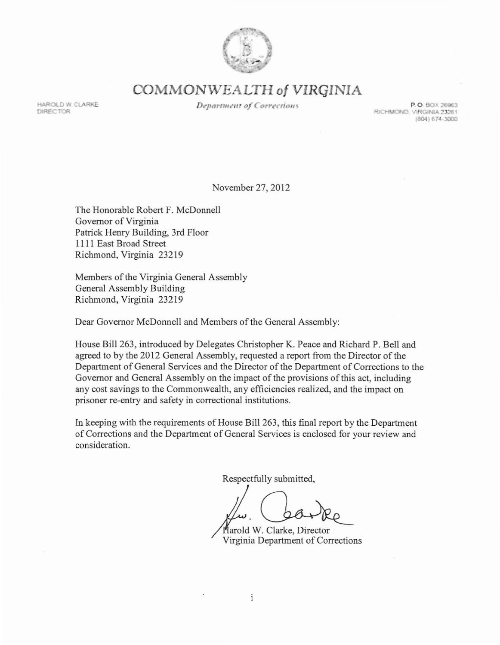

**COMMON\VEALTH of VIRGINIA**

**HAROLD W. CLARKE** DIRECTOR

**Department of Corrections** 

**P. O. BOX 26963**<br>**RICHMOND, VIRGINIA 23261** (804) 674-3000

November 27, 2012

The Honorable Robert F. McDonnell Governor of Virginia Patrick Henry Building, 3rd Floor III I East Broad Street Richmond, Virginia 232 19

Members of the Virginia General Assembly General Assembly Building Richmond, Virginia 232 19

Dear Governor McDonnell and Members of the General Assembly:

House Bill 263, introduced by Delegates Christopher K. Peace and Richard P. Bell and agreed to by the 2012 General Assembly, requested a report from the Director of the Department of General Services and the Director of the Department of Corrections to the Governor and General Assembly on the impact of the provisions of this act, including any cost savings to the Commonwealth, any efficiencies realized, and the impact on prisoner re-entry and safety in correctional institutions.

In keeping with the requirements of House Bill 263, this final report by the Department of Corrections and the Department of General Services is enclosed for your review and consideration.

Respectfully submitted,

arold W. Clarke, Director Virginia Department of Corrections

 $\mathbf{i}$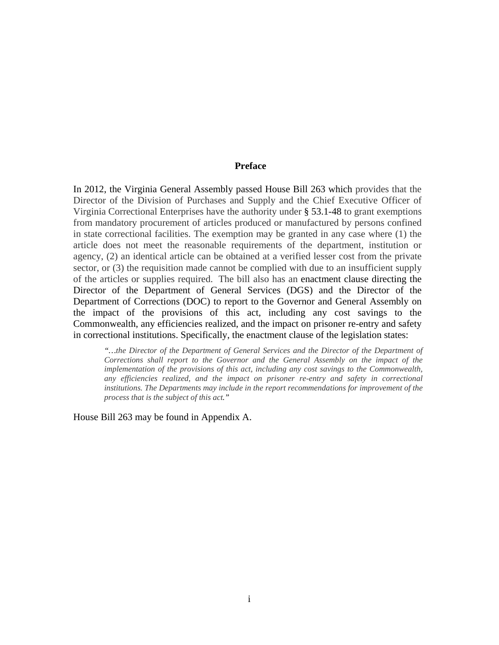#### **Preface**

In 2012, the Virginia General Assembly passed House Bill 263 which provides that the Director of the Division of Purchases and Supply and the Chief Executive Officer of Virginia Correctional Enterprises have the authority under § 53.1-48 to grant exemptions from mandatory procurement of articles produced or manufactured by persons confined in state correctional facilities. The exemption may be granted in any case where (1) the article does not meet the reasonable requirements of the department, institution or agency, (2) an identical article can be obtained at a verified lesser cost from the private sector, or (3) the requisition made cannot be complied with due to an insufficient supply of the articles or supplies required. The bill also has an enactment clause directing the Director of the Department of General Services (DGS) and the Director of the Department of Corrections (DOC) to report to the Governor and General Assembly on the impact of the provisions of this act, including any cost savings to the Commonwealth, any efficiencies realized, and the impact on prisoner re-entry and safety in correctional institutions. Specifically, the enactment clause of the legislation states:

*"…the Director of the Department of General Services and the Director of the Department of Corrections shall report to the Governor and the General Assembly on the impact of the implementation of the provisions of this act, including any cost savings to the Commonwealth, any efficiencies realized, and the impact on prisoner re-entry and safety in correctional institutions. The Departments may include in the report recommendations for improvement of the process that is the subject of this act."* 

House Bill 263 may be found in Appendix A.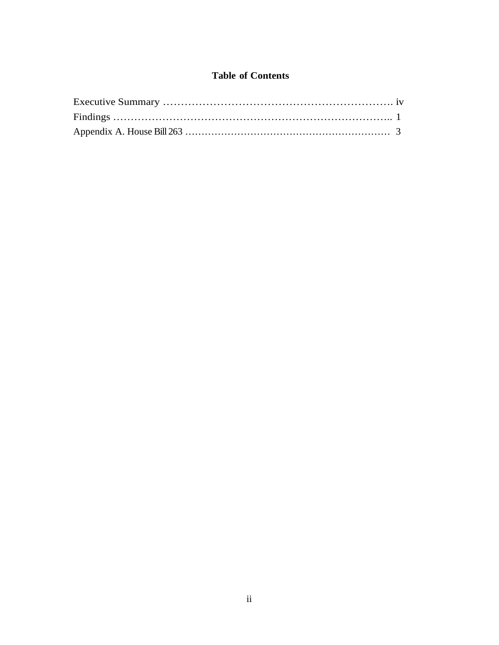# **Table of Contents**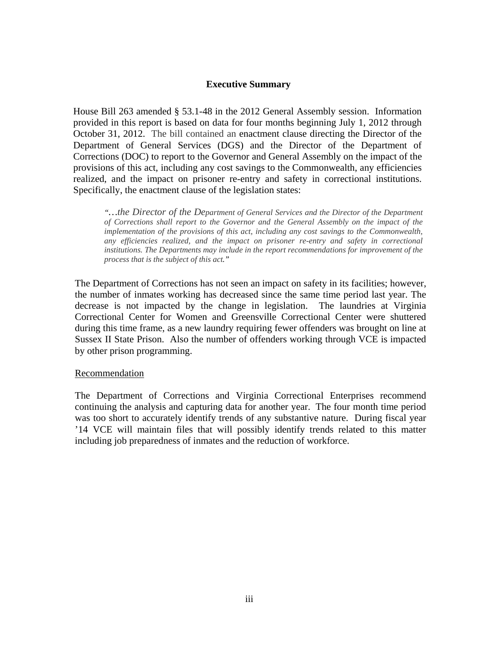### **Executive Summary**

House Bill 263 amended § 53.1-48 in the 2012 General Assembly session. Information provided in this report is based on data for four months beginning July 1, 2012 through October 31, 2012. The bill contained an enactment clause directing the Director of the Department of General Services (DGS) and the Director of the Department of Corrections (DOC) to report to the Governor and General Assembly on the impact of the provisions of this act, including any cost savings to the Commonwealth, any efficiencies realized, and the impact on prisoner re-entry and safety in correctional institutions. Specifically, the enactment clause of the legislation states:

*"…the Director of the Department of General Services and the Director of the Department of Corrections shall report to the Governor and the General Assembly on the impact of the implementation of the provisions of this act, including any cost savings to the Commonwealth, any efficiencies realized, and the impact on prisoner re-entry and safety in correctional institutions. The Departments may include in the report recommendations for improvement of the process that is the subject of this act."* 

The Department of Corrections has not seen an impact on safety in its facilities; however, the number of inmates working has decreased since the same time period last year. The decrease is not impacted by the change in legislation. The laundries at Virginia Correctional Center for Women and Greensville Correctional Center were shuttered during this time frame, as a new laundry requiring fewer offenders was brought on line at Sussex II State Prison. Also the number of offenders working through VCE is impacted by other prison programming.

#### Recommendation

The Department of Corrections and Virginia Correctional Enterprises recommend continuing the analysis and capturing data for another year. The four month time period was too short to accurately identify trends of any substantive nature. During fiscal year '14 VCE will maintain files that will possibly identify trends related to this matter including job preparedness of inmates and the reduction of workforce.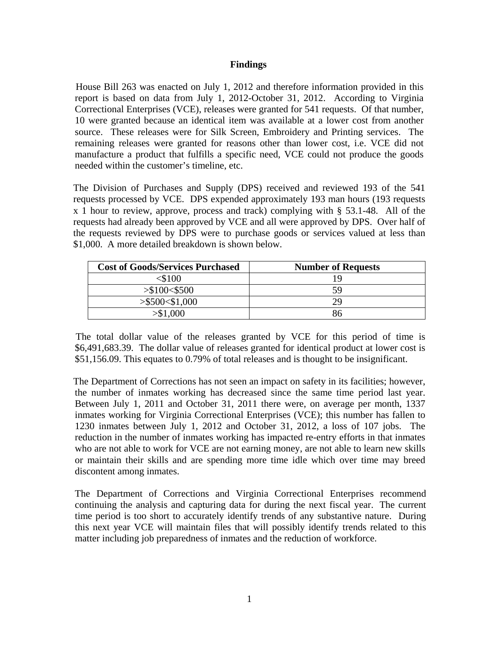### **Findings**

 House Bill 263 was enacted on July 1, 2012 and therefore information provided in this report is based on data from July 1, 2012-October 31, 2012. According to Virginia Correctional Enterprises (VCE), releases were granted for 541 requests. Of that number, 10 were granted because an identical item was available at a lower cost from another source. These releases were for Silk Screen, Embroidery and Printing services. The remaining releases were granted for reasons other than lower cost, i.e. VCE did not manufacture a product that fulfills a specific need, VCE could not produce the goods needed within the customer's timeline, etc.

The Division of Purchases and Supply (DPS) received and reviewed 193 of the 541 requests processed by VCE. DPS expended approximately 193 man hours (193 requests x 1 hour to review, approve, process and track) complying with § 53.1-48. All of the requests had already been approved by VCE and all were approved by DPS. Over half of the requests reviewed by DPS were to purchase goods or services valued at less than \$1,000. A more detailed breakdown is shown below.

| <b>Cost of Goods/Services Purchased</b> | <b>Number of Requests</b> |
|-----------------------------------------|---------------------------|
| :\$100                                  |                           |
| > \$100 < \$500                         | 59                        |
| > \$500 < \$1,000                       | 79                        |
| $\$1,000$                               |                           |

 The total dollar value of the releases granted by VCE for this period of time is \$6,491,683.39. The dollar value of releases granted for identical product at lower cost is \$51,156.09. This equates to 0.79% of total releases and is thought to be insignificant.

The Department of Corrections has not seen an impact on safety in its facilities; however, the number of inmates working has decreased since the same time period last year. Between July 1, 2011 and October 31, 2011 there were, on average per month, 1337 inmates working for Virginia Correctional Enterprises (VCE); this number has fallen to 1230 inmates between July 1, 2012 and October 31, 2012, a loss of 107 jobs. The reduction in the number of inmates working has impacted re-entry efforts in that inmates who are not able to work for VCE are not earning money, are not able to learn new skills or maintain their skills and are spending more time idle which over time may breed discontent among inmates.

The Department of Corrections and Virginia Correctional Enterprises recommend continuing the analysis and capturing data for during the next fiscal year. The current time period is too short to accurately identify trends of any substantive nature. During this next year VCE will maintain files that will possibly identify trends related to this matter including job preparedness of inmates and the reduction of workforce.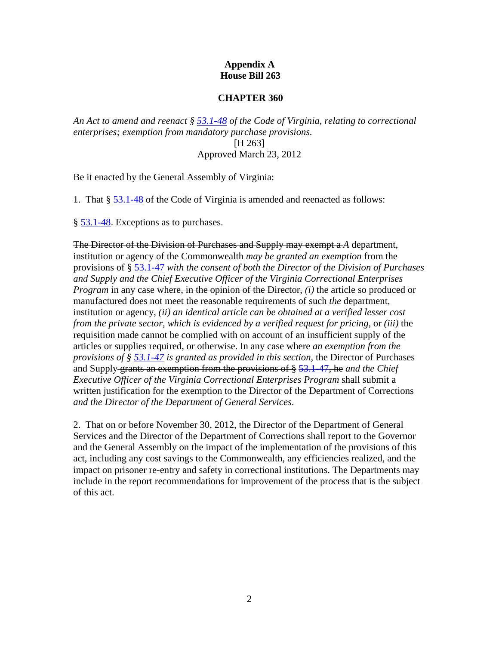## **Appendix A House Bill 263**

### **CHAPTER 360**

*An Act to amend and reenact § 53.1-48 of the Code of Virginia, relating to correctional enterprises; exemption from mandatory purchase provisions.* [H 263] Approved March 23, 2012

Be it enacted by the General Assembly of Virginia:

1. That § 53.1-48 of the Code of Virginia is amended and reenacted as follows:

§ 53.1-48. Exceptions as to purchases.

The Director of the Division of Purchases and Supply may exempt a *A* department, institution or agency of the Commonwealth *may be granted an exemption* from the provisions of § 53.1-47 *with the consent of both the Director of the Division of Purchases and Supply and the Chief Executive Officer of the Virginia Correctional Enterprises Program* in any case where, in the opinion of the Director, *(i)* the article so produced or manufactured does not meet the reasonable requirements of such *the* department, institution or agency, *(ii) an identical article can be obtained at a verified lesser cost from the private sector, which is evidenced by a verified request for pricing,* or *(iii)* the requisition made cannot be complied with on account of an insufficient supply of the articles or supplies required, or otherwise. In any case where *an exemption from the provisions of § 53.1-47 is granted as provided in this section,* the Director of Purchases and Supply grants an exemption from the provisions of § 53.1-47, he *and the Chief Executive Officer of the Virginia Correctional Enterprises Program* shall submit a written justification for the exemption to the Director of the Department of Corrections *and the Director of the Department of General Services*.

2. That on or before November 30, 2012, the Director of the Department of General Services and the Director of the Department of Corrections shall report to the Governor and the General Assembly on the impact of the implementation of the provisions of this act, including any cost savings to the Commonwealth, any efficiencies realized, and the impact on prisoner re-entry and safety in correctional institutions. The Departments may include in the report recommendations for improvement of the process that is the subject of this act.